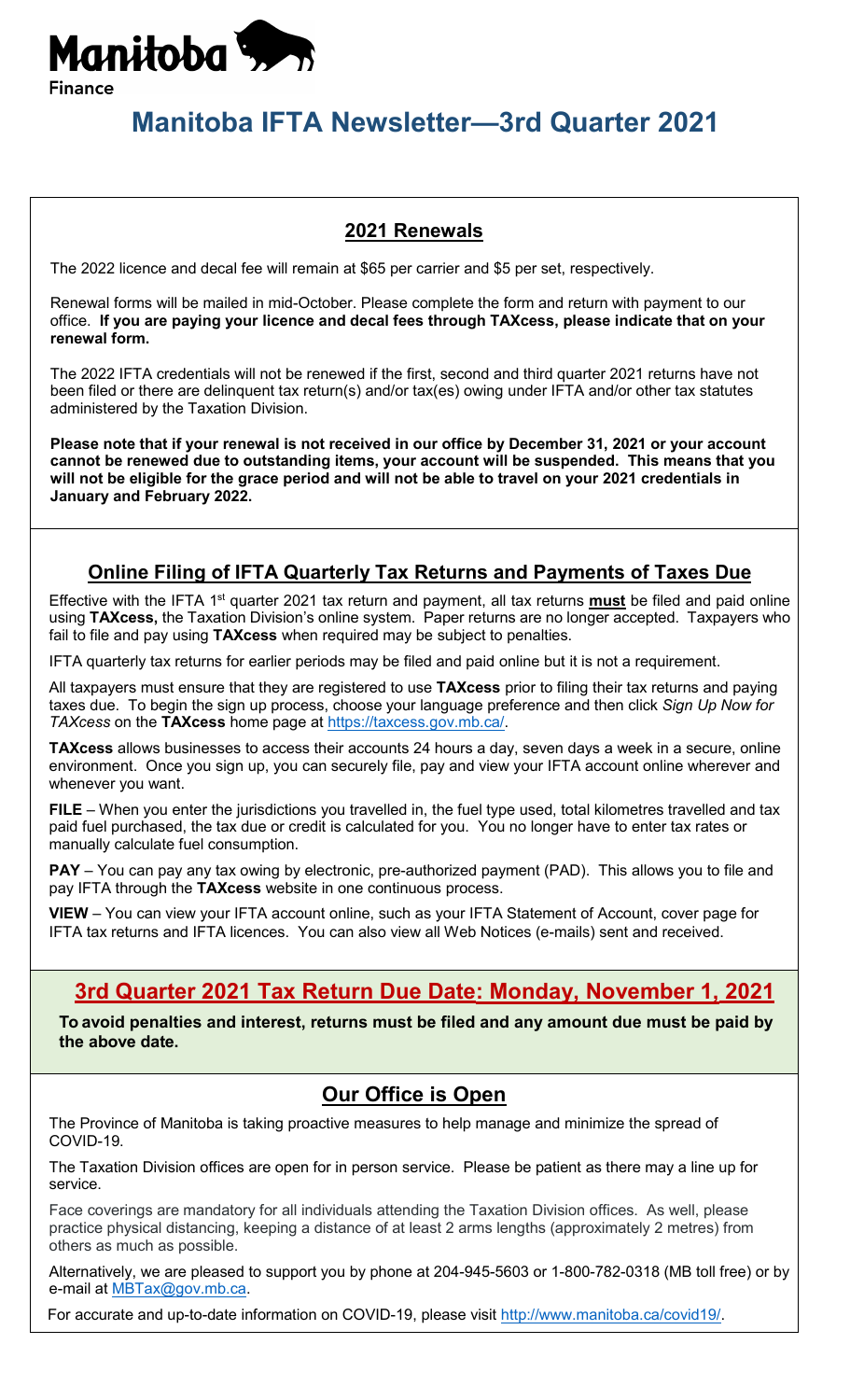

# **Manitoba IFTA Newsletter—3rd Quarter 2021**

#### **2021 Renewals**

The 2022 licence and decal fee will remain at \$65 per carrier and \$5 per set, respectively.

Renewal forms will be mailed in mid-October. Please complete the form and return with payment to our office. **If you are paying your licence and decal fees through TAXcess, please indicate that on your renewal form.** 

The 2022 IFTA credentials will not be renewed if the first, second and third quarter 2021 returns have not been filed or there are delinquent tax return(s) and/or tax(es) owing under IFTA and/or other tax statutes administered by the Taxation Division.

**Please note that if your renewal is not received in our office by December 31, 2021 or your account cannot be renewed due to outstanding items, your account will be suspended. This means that you will not be eligible for the grace period and will not be able to travel on your 2021 credentials in January and February 2022.**

#### **Online Filing of IFTA Quarterly Tax Returns and Payments of Taxes Due**

Effective with the IFTA 1<sup>st</sup> quarter 2021 tax return and payment, all tax returns **must** be filed and paid online using **TAXcess,** the Taxation Division's online system. Paper returns are no longer accepted. Taxpayers who fail to file and pay using **TAXcess** when required may be subject to penalties.

IFTA quarterly tax returns for earlier periods may be filed and paid online but it is not a requirement.

All taxpayers must ensure that they are registered to use **TAXcess** prior to filing their tax returns and paying taxes due. To begin the sign up process, choose your language preference and then click *Sign Up Now for TAXcess* on the **TAXcess** home page at [https://taxcess.gov.mb.ca/.](https://taxcess.gov.mb.ca/)

**TAXcess** allows businesses to access their accounts 24 hours a day, seven days a week in a secure, online environment. Once you sign up, you can securely file, pay and view your IFTA account online wherever and whenever you want.

**FILE** – When you enter the jurisdictions you travelled in, the fuel type used, total kilometres travelled and tax paid fuel purchased, the tax due or credit is calculated for you. You no longer have to enter tax rates or manually calculate fuel consumption.

**PAY** – You can pay any tax owing by electronic, pre-authorized payment (PAD). This allows you to file and pay IFTA through the **TAXcess** website in one continuous process.

**VIEW** – You can view your IFTA account online, such as your IFTA Statement of Account, cover page for IFTA tax returns and IFTA licences. You can also view all Web Notices (e-mails) sent and received.

## **3rd Quarter 2021 Tax Return Due Date: Monday, November 1, 2021**

**To avoid penalties and interest, returns must be filed and any amount due must be paid by the above date.**

#### **Our Office is Open**

The Province of Manitoba is taking proactive measures to help manage and minimize the spread of COVID-19.

The Taxation Division offices are open for in person service. Please be patient as there may a line up for service.

Face coverings are mandatory for all individuals attending the Taxation Division offices. As well, please practice physical distancing, keeping a distance of at least 2 arms lengths (approximately 2 metres) from others as much as possible.

Alternatively, we are pleased to support you by phone at 204-945-5603 or 1-800-782-0318 (MB toll free) or by e-mail at [MBTax@gov.mb.ca.](mailto:MBTax@gov.mb.ca)

For accurate and up-to-date information on COVID-19, please visit [http://www.manitoba.ca/covid19/.](http://www.manitoba.ca/covid19/)